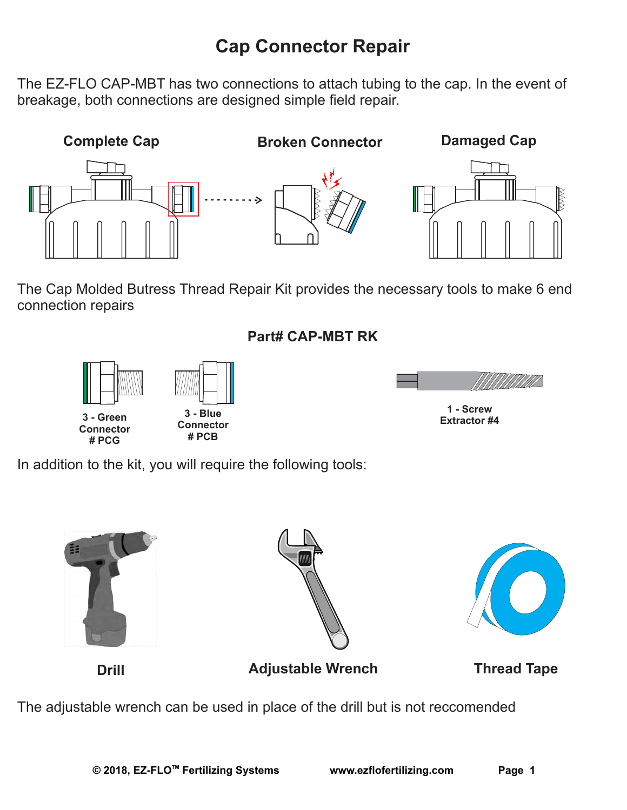## **Cap Connector Repair**

The EZ-FLO CAP-MBT has two connections to attach tubing to the cap. In the event of breakage, both connections are designed simple field repair.



The Cap Molded Butress Thread Repair Kit provides the necessary tools to make 6 end connection repairs

## **Part# CAP-MBT RK**







**1 - Screw** 

In addition to the kit, you will require the following tools:







**Drill Adjustable Wrench Thread Tape**

The adjustable wrench can be used in place of the drill but is not reccomended